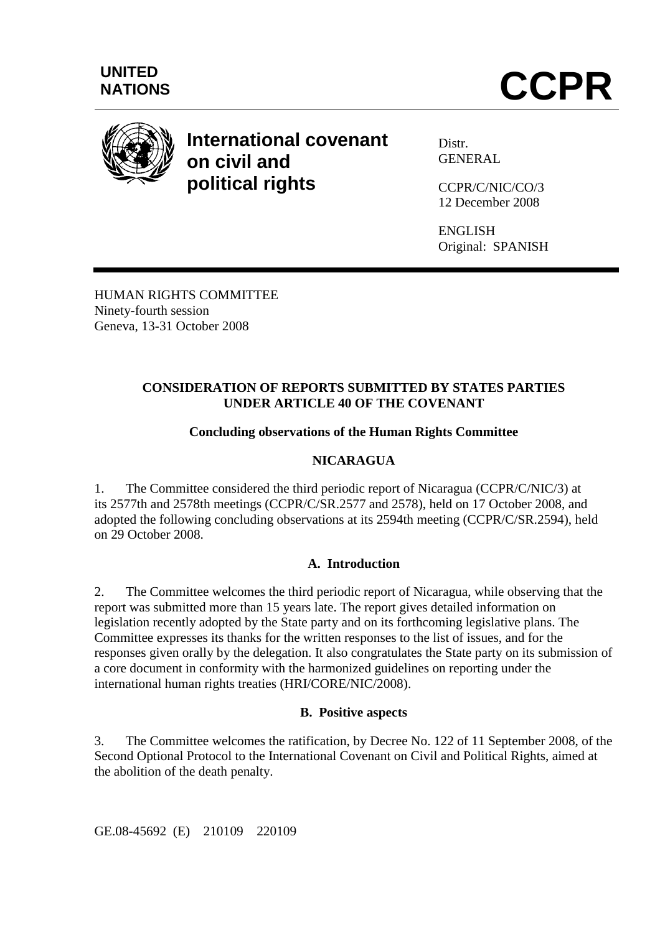

# **International covenant on civil and political rights**

Distr. GENERAL

CCPR/C/NIC/CO/3 12 December 2008

ENGLISH Original: SPANISH

HUMAN RIGHTS COMMITTEE Ninety-fourth session Geneva, 13-31 October 2008

# **CONSIDERATION OF REPORTS SUBMITTED BY STATES PARTIES UNDER ARTICLE 40 OF THE COVENANT**

# **Concluding observations of the Human Rights Committee**

# **NICARAGUA**

1. The Committee considered the third periodic report of Nicaragua (CCPR/C/NIC/3) at its 2577th and 2578th meetings (CCPR/C/SR.2577 and 2578), held on 17 October 2008, and adopted the following concluding observations at its 2594th meeting (CCPR/C/SR.2594), held on 29 October 2008.

## **A. Introduction**

2. The Committee welcomes the third periodic report of Nicaragua, while observing that the report was submitted more than 15 years late. The report gives detailed information on legislation recently adopted by the State party and on its forthcoming legislative plans. The Committee expresses its thanks for the written responses to the list of issues, and for the responses given orally by the delegation. It also congratulates the State party on its submission of a core document in conformity with the harmonized guidelines on reporting under the international human rights treaties (HRI/CORE/NIC/2008).

## **B. Positive aspects**

3. The Committee welcomes the ratification, by Decree No. 122 of 11 September 2008, of the Second Optional Protocol to the International Covenant on Civil and Political Rights, aimed at the abolition of the death penalty.

GE.08-45692 (E) 210109 220109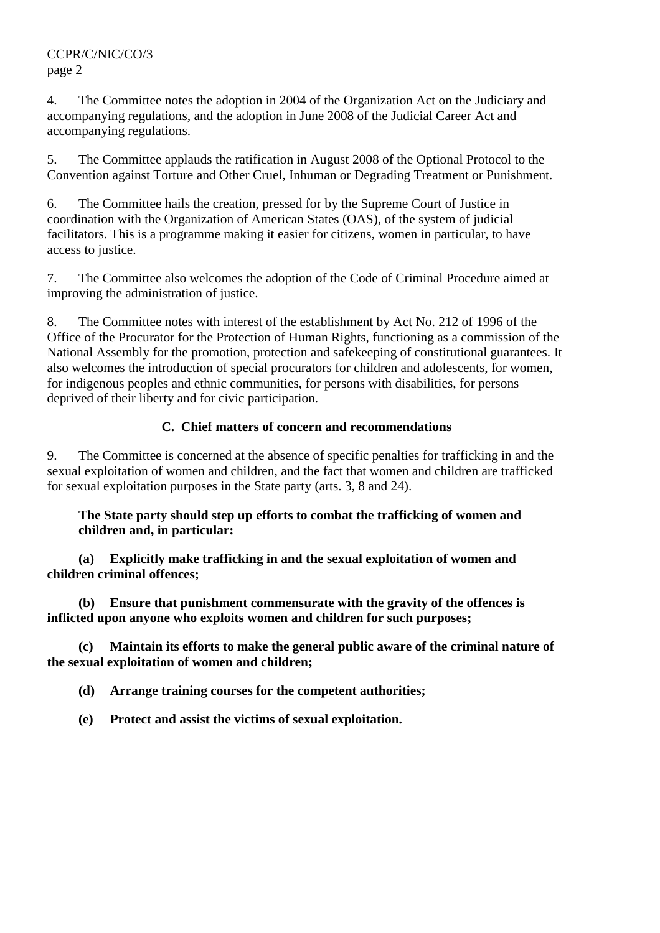4. The Committee notes the adoption in 2004 of the Organization Act on the Judiciary and accompanying regulations, and the adoption in June 2008 of the Judicial Career Act and accompanying regulations.

5. The Committee applauds the ratification in August 2008 of the Optional Protocol to the Convention against Torture and Other Cruel, Inhuman or Degrading Treatment or Punishment.

6. The Committee hails the creation, pressed for by the Supreme Court of Justice in coordination with the Organization of American States (OAS), of the system of judicial facilitators. This is a programme making it easier for citizens, women in particular, to have access to justice.

7. The Committee also welcomes the adoption of the Code of Criminal Procedure aimed at improving the administration of justice.

8. The Committee notes with interest of the establishment by Act No. 212 of 1996 of the Office of the Procurator for the Protection of Human Rights, functioning as a commission of the National Assembly for the promotion, protection and safekeeping of constitutional guarantees. It also welcomes the introduction of special procurators for children and adolescents, for women, for indigenous peoples and ethnic communities, for persons with disabilities, for persons deprived of their liberty and for civic participation.

# **C. Chief matters of concern and recommendations**

9. The Committee is concerned at the absence of specific penalties for trafficking in and the sexual exploitation of women and children, and the fact that women and children are trafficked for sexual exploitation purposes in the State party (arts. 3, 8 and 24).

# **The State party should step up efforts to combat the trafficking of women and children and, in particular:**

 **(a) Explicitly make trafficking in and the sexual exploitation of women and children criminal offences;** 

 **(b) Ensure that punishment commensurate with the gravity of the offences is inflicted upon anyone who exploits women and children for such purposes;** 

 **(c) Maintain its efforts to make the general public aware of the criminal nature of the sexual exploitation of women and children;** 

 **(d) Arrange training courses for the competent authorities;** 

 **(e) Protect and assist the victims of sexual exploitation.**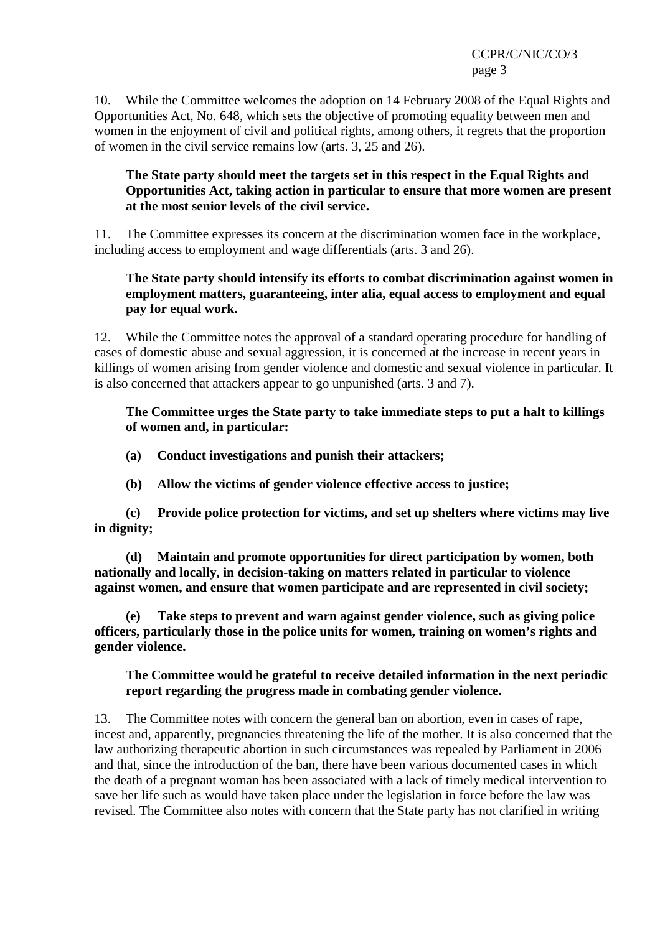10. While the Committee welcomes the adoption on 14 February 2008 of the Equal Rights and Opportunities Act, No. 648, which sets the objective of promoting equality between men and women in the enjoyment of civil and political rights, among others, it regrets that the proportion of women in the civil service remains low (arts. 3, 25 and 26).

## **The State party should meet the targets set in this respect in the Equal Rights and Opportunities Act, taking action in particular to ensure that more women are present at the most senior levels of the civil service.**

11. The Committee expresses its concern at the discrimination women face in the workplace, including access to employment and wage differentials (arts. 3 and 26).

## **The State party should intensify its efforts to combat discrimination against women in employment matters, guaranteeing, inter alia, equal access to employment and equal pay for equal work.**

12. While the Committee notes the approval of a standard operating procedure for handling of cases of domestic abuse and sexual aggression, it is concerned at the increase in recent years in killings of women arising from gender violence and domestic and sexual violence in particular. It is also concerned that attackers appear to go unpunished (arts. 3 and 7).

## **The Committee urges the State party to take immediate steps to put a halt to killings of women and, in particular:**

- **(a) Conduct investigations and punish their attackers;**
- **(b) Allow the victims of gender violence effective access to justice;**

 **(c) Provide police protection for victims, and set up shelters where victims may live in dignity;** 

 **(d) Maintain and promote opportunities for direct participation by women, both nationally and locally, in decision-taking on matters related in particular to violence against women, and ensure that women participate and are represented in civil society;** 

 **(e) Take steps to prevent and warn against gender violence, such as giving police officers, particularly those in the police units for women, training on women's rights and gender violence.** 

## **The Committee would be grateful to receive detailed information in the next periodic report regarding the progress made in combating gender violence.**

13. The Committee notes with concern the general ban on abortion, even in cases of rape, incest and, apparently, pregnancies threatening the life of the mother. It is also concerned that the law authorizing therapeutic abortion in such circumstances was repealed by Parliament in 2006 and that, since the introduction of the ban, there have been various documented cases in which the death of a pregnant woman has been associated with a lack of timely medical intervention to save her life such as would have taken place under the legislation in force before the law was revised. The Committee also notes with concern that the State party has not clarified in writing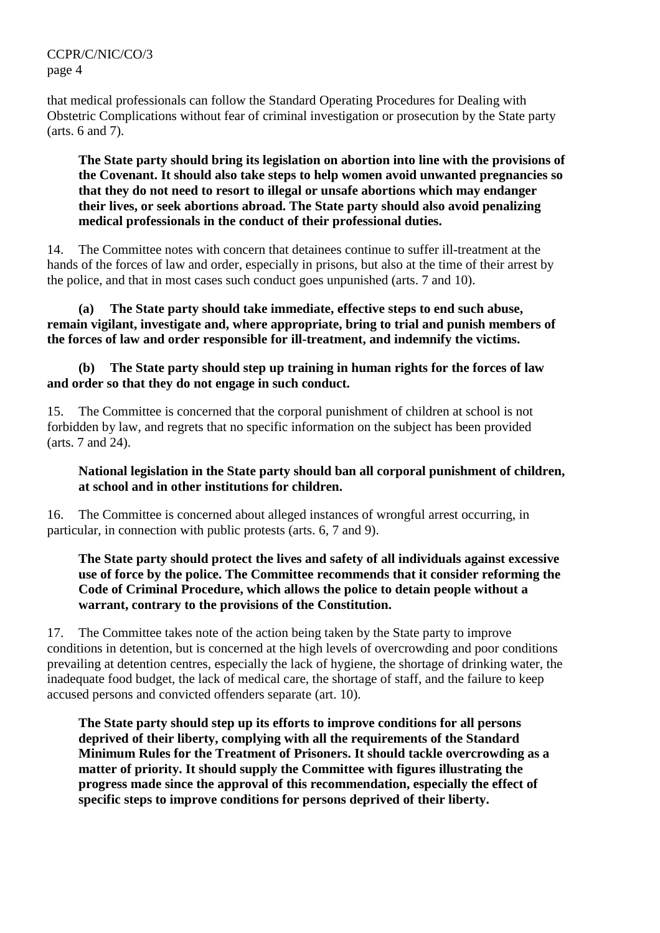that medical professionals can follow the Standard Operating Procedures for Dealing with Obstetric Complications without fear of criminal investigation or prosecution by the State party (arts. 6 and 7).

#### **The State party should bring its legislation on abortion into line with the provisions of the Covenant. It should also take steps to help women avoid unwanted pregnancies so that they do not need to resort to illegal or unsafe abortions which may endanger their lives, or seek abortions abroad. The State party should also avoid penalizing medical professionals in the conduct of their professional duties.**

14. The Committee notes with concern that detainees continue to suffer ill-treatment at the hands of the forces of law and order, especially in prisons, but also at the time of their arrest by the police, and that in most cases such conduct goes unpunished (arts. 7 and 10).

#### **(a) The State party should take immediate, effective steps to end such abuse, remain vigilant, investigate and, where appropriate, bring to trial and punish members of the forces of law and order responsible for ill-treatment, and indemnify the victims.**

## **(b) The State party should step up training in human rights for the forces of law and order so that they do not engage in such conduct.**

15. The Committee is concerned that the corporal punishment of children at school is not forbidden by law, and regrets that no specific information on the subject has been provided (arts. 7 and 24).

**National legislation in the State party should ban all corporal punishment of children, at school and in other institutions for children.** 

16. The Committee is concerned about alleged instances of wrongful arrest occurring, in particular, in connection with public protests (arts. 6, 7 and 9).

#### **The State party should protect the lives and safety of all individuals against excessive use of force by the police. The Committee recommends that it consider reforming the Code of Criminal Procedure, which allows the police to detain people without a warrant, contrary to the provisions of the Constitution.**

17. The Committee takes note of the action being taken by the State party to improve conditions in detention, but is concerned at the high levels of overcrowding and poor conditions prevailing at detention centres, especially the lack of hygiene, the shortage of drinking water, the inadequate food budget, the lack of medical care, the shortage of staff, and the failure to keep accused persons and convicted offenders separate (art. 10).

**The State party should step up its efforts to improve conditions for all persons deprived of their liberty, complying with all the requirements of the Standard Minimum Rules for the Treatment of Prisoners. It should tackle overcrowding as a matter of priority. It should supply the Committee with figures illustrating the progress made since the approval of this recommendation, especially the effect of specific steps to improve conditions for persons deprived of their liberty.**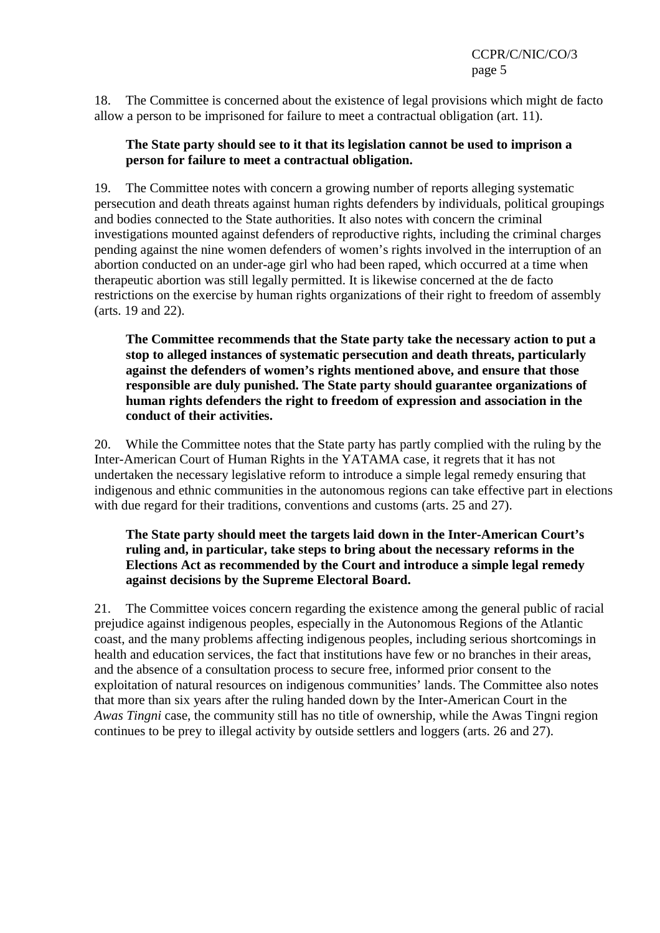18. The Committee is concerned about the existence of legal provisions which might de facto allow a person to be imprisoned for failure to meet a contractual obligation (art. 11).

#### **The State party should see to it that its legislation cannot be used to imprison a person for failure to meet a contractual obligation.**

19. The Committee notes with concern a growing number of reports alleging systematic persecution and death threats against human rights defenders by individuals, political groupings and bodies connected to the State authorities. It also notes with concern the criminal investigations mounted against defenders of reproductive rights, including the criminal charges pending against the nine women defenders of women's rights involved in the interruption of an abortion conducted on an under-age girl who had been raped, which occurred at a time when therapeutic abortion was still legally permitted. It is likewise concerned at the de facto restrictions on the exercise by human rights organizations of their right to freedom of assembly (arts. 19 and 22).

**The Committee recommends that the State party take the necessary action to put a stop to alleged instances of systematic persecution and death threats, particularly against the defenders of women's rights mentioned above, and ensure that those responsible are duly punished. The State party should guarantee organizations of human rights defenders the right to freedom of expression and association in the conduct of their activities.** 

20. While the Committee notes that the State party has partly complied with the ruling by the Inter-American Court of Human Rights in the YATAMA case, it regrets that it has not undertaken the necessary legislative reform to introduce a simple legal remedy ensuring that indigenous and ethnic communities in the autonomous regions can take effective part in elections with due regard for their traditions, conventions and customs (arts. 25 and 27).

## **The State party should meet the targets laid down in the Inter-American Court's ruling and, in particular, take steps to bring about the necessary reforms in the Elections Act as recommended by the Court and introduce a simple legal remedy against decisions by the Supreme Electoral Board.**

21. The Committee voices concern regarding the existence among the general public of racial prejudice against indigenous peoples, especially in the Autonomous Regions of the Atlantic coast, and the many problems affecting indigenous peoples, including serious shortcomings in health and education services, the fact that institutions have few or no branches in their areas, and the absence of a consultation process to secure free, informed prior consent to the exploitation of natural resources on indigenous communities' lands. The Committee also notes that more than six years after the ruling handed down by the Inter-American Court in the *Awas Tingni* case, the community still has no title of ownership, while the Awas Tingni region continues to be prey to illegal activity by outside settlers and loggers (arts. 26 and 27).